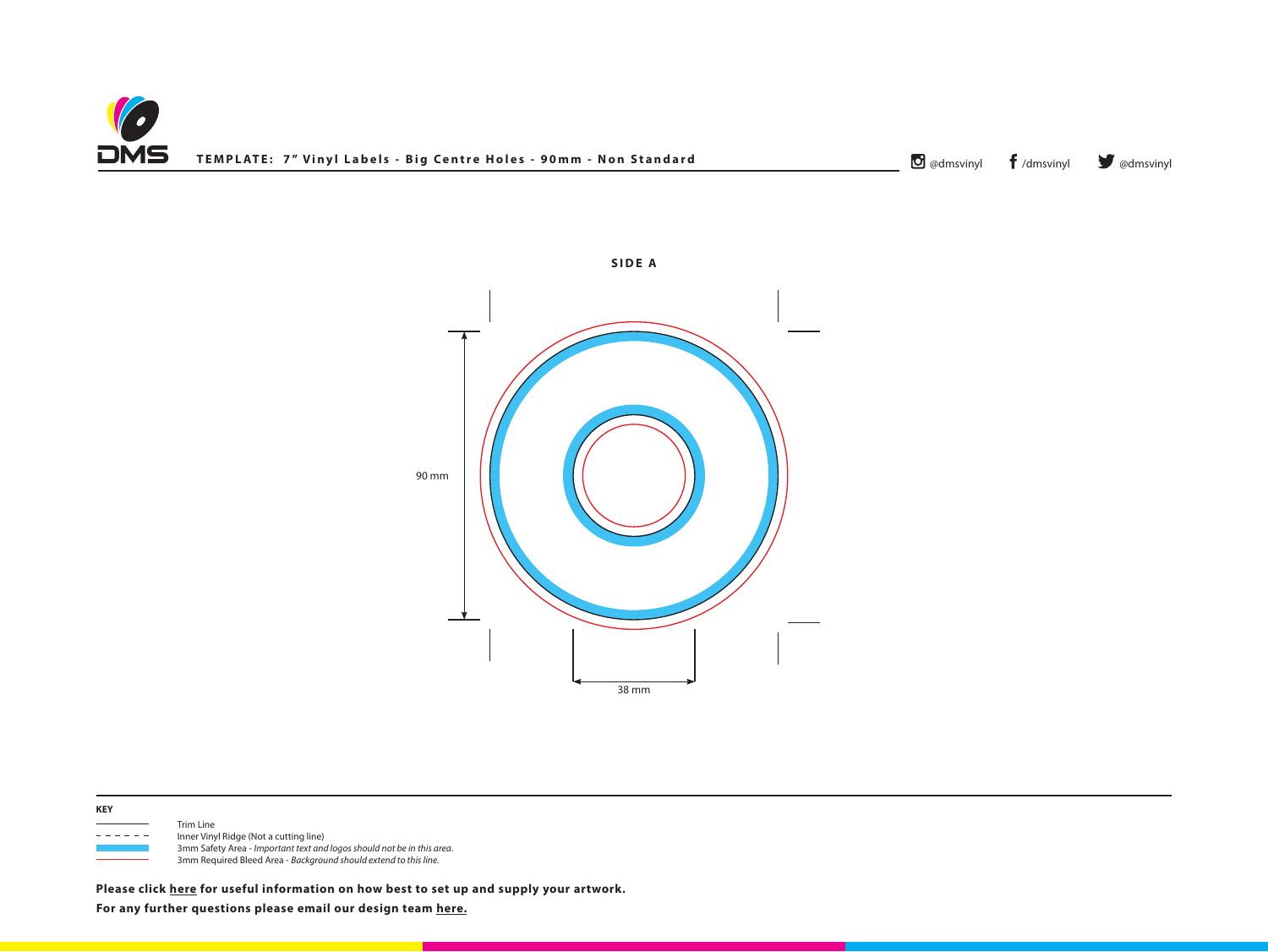





- - - - - Inner Vinyl Ridge (Not a cutting line) 3mm Safety Area - *Important text and logos should not be in this area*. 3mm Required Bleed Area - *Background should extend to this line.*

**Please click [here](http://www.discmanufacturingservices.com/vinyl/templates#artwork-specifications) for useful information on how best to set up and supply your artwork.**

**For any further questions please email our design team [here.](mailto:graphics%40discmanufacturingservices.com?subject=Template%20Enquiry)**